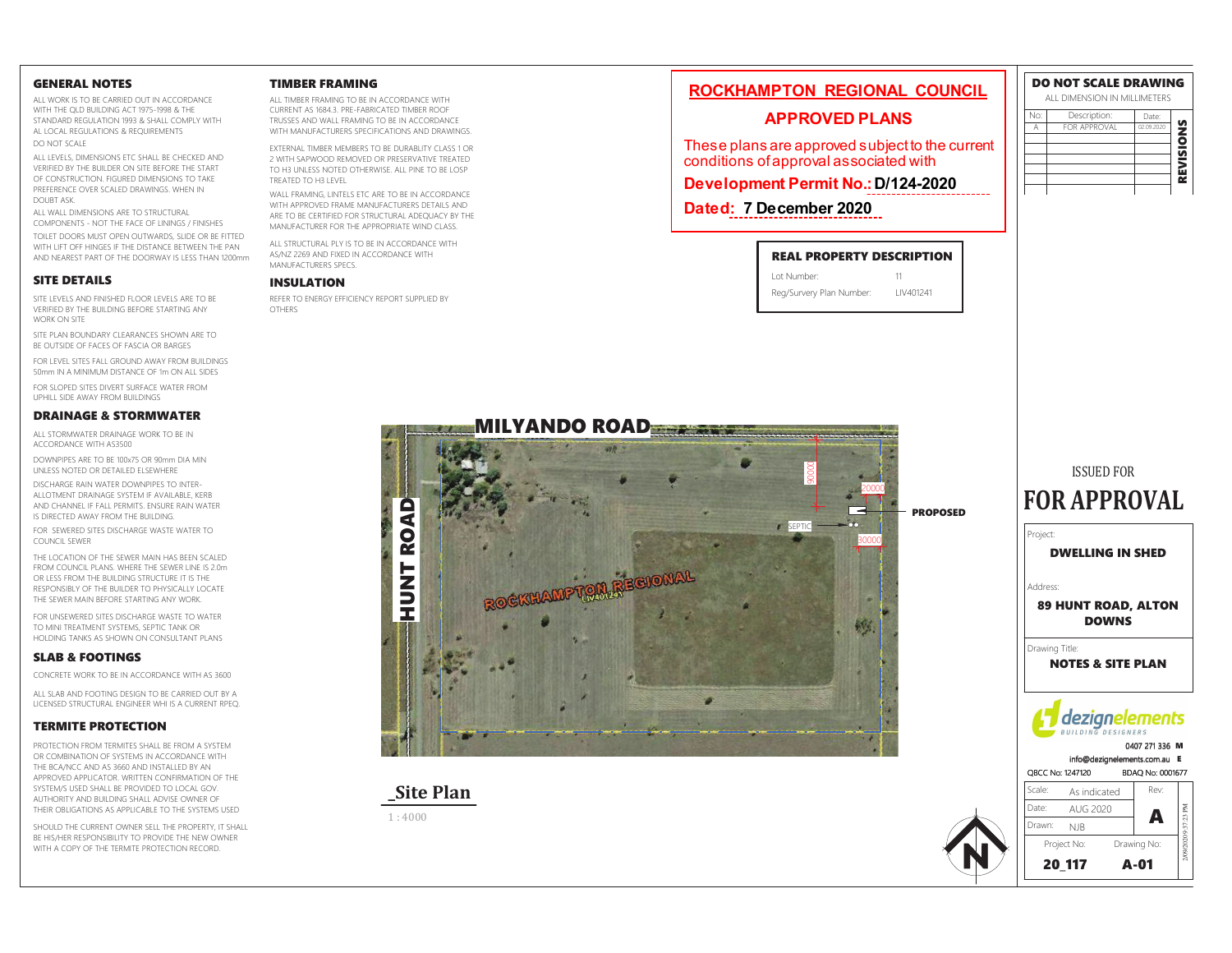#### **GENERAL NOTES**

ALL WORK IS TO BE CARRIED OUT IN ACCORDANCE WITH THE OLD BUILDING ACT 1975-1998 & THE STANDARD REGULATION 1993 & SHALL COMPLY WITH AL LOCAL REGULATIONS & REQUIREMENTS DO NOT SCALE

ALL LEVELS, DIMENSIONS ETC SHALL BE CHECKED AND VERIFIED BY THE BUILDER ON SITE BEFORE THE START OF CONSTRUCTION. FIGURED DIMENSIONS TO TAKE PREFERENCE OVER SCALED DRAWINGS. WHEN IN DOUBT ASK

ALL WALL DIMENSIONS ARE TO STRUCTURAL COMPONENTS - NOT THE FACE OF LININGS / FINISHES TOILET DOORS MUST OPEN OUTWARDS. SLIDE OR BE FITTED WITH LIFT OFF HINGES IF THE DISTANCE BETWEEN THE PAN AND NEAREST PART OF THE DOORWAY IS LESS THAN 1200mm

### **SITE DETAILS**

SITE LEVELS AND FINISHED FLOOR LEVELS ARE TO BE VERIFIED BY THE BUILDING BEFORE STARTING ANY **WORK ON SITE** 

SITE PLAN BOUNDARY CLEARANCES SHOWN ARE TO BE OUTSIDE OF FACES OF FASCIA OR BARGES

FOR LEVEL SITES FALL GROUND AWAY FROM BUILDINGS 50mm IN A MINIMUM DISTANCE OF 1m ON ALL SIDES

EOR SLOPED SITES DIVERT SLIREACE WATER FROM LIPHILL SIDE AWAY FROM BLILLDINGS

#### **DRAINAGE & STORMWATER**

ALL STORMWATER DRAINAGE WORK TO BE IN ACCORDANCE WITH AS3500

DOWNPIPES ARE TO BE 100x75 OR 90mm DIA MIN UNLESS NOTED OR DETAILED ELSEWHERE

DISCHARGE RAIN WATER DOWNPIPES TO INTER-ALLOTMENT DRAINAGE SYSTEM IF AVAILABLE, KERB AND CHANNEL IF FALL PERMITS. ENSURE RAIN WATER IS DIRECTED AWAY FROM THE BLIII DING

FOR SEWERED SITES DISCHARGE WASTE WATER TO COUNCIL SEWER

THE LOCATION OF THE SEWER MAIN HAS REEN SCALED. FROM COUNCIL PLANS. WHERE THE SEWER LINE IS 2.0m OR LESS FROM THE BUILDING STRUCTURE IT IS THE RESPONSIBLY OF THE BUILDER TO PHYSICALLY LOCATE THE SEWER MAIN BEFORE STARTING ANY WORK.

FOR UNSEWERED SITES DISCHARGE WASTE TO WATER TO MINI TREATMENT SYSTEMS, SEPTIC TANK OR HOLDING TANKS AS SHOWN ON CONSULTANT PLANS

### **SLAB & FOOTINGS**

CONCRETE WORK TO BE IN ACCORDANCE WITH AS 3600

ALL SLAR AND FOOTING DESIGN TO BE CARRIED OUT BY A LICENSED STRUCTURAL ENGINEER WHI IS A CURRENT RPEQ.

#### **TERMITE PROTECTION**

PROTECTION FROM TERMITES SHALL BE FROM A SYSTEM OR COMBINATION OF SYSTEMS IN ACCORDANCE WITH THE RCA/NCC AND AS 3660 AND INSTALLED BY AN APPROVED APPLICATOR WRITTEN CONFIRMATION OF THE SYSTEM/S USED SHALL BE PROVIDED TO LOCAL GOV AUTHORITY AND BUILDING SHALL ADVISE OWNER OF THEIR OBLIGATIONS AS APPLICABLE TO THE SYSTEMS USED

SHOULD THE CURRENT OWNER SELL THE PROPERTY. IT SHALL BE HIS/HER RESPONSIBILITY TO PROVIDE THE NEW OWNER WITH A COPY OF THE TERMITE PROTECTION RECORD.

#### **TIMBER FRAMING**

ALL TIMBER FRAMING TO BE IN ACCORDANCE WITH CURRENT AS 1684.3. PRE-FABRICATED TIMBER ROOF TRUSSES AND WALL FRAMING TO BE IN ACCORDANCE WITH MANUFACTURERS SPECIFICATIONS AND DRAWINGS

EXTERNAL TIMBER MEMBERS TO BE DURABLITY CLASS 1 OR 2 WITH SAPWOOD REMOVED OR PRESERVATIVE TREATED TO H3 LINEESS NOTED OTHERWISE ALL PINE TO BE LOSP TREATED TO H3 LEVEL

WALL FRAMING, LINTELS ETC ARE TO BE IN ACCORDANCE WITH APPROVED FRAME MANUFACTURERS DETAILS AND ARE TO BE CERTIFIED FOR STRUCTURAL ADEQUACY BY THE MANUFACTURER FOR THE APPROPRIATE WIND CLASS.

ALL STRUCTURAL PLY IS TO BE IN ACCORDANCE WITH AS/NZ 2269 AND FIXED IN ACCORDANCE WITH MANUFACTURERS SPECS

#### **INSULATION**

REFER TO ENERGY EFFICIENCY REPORT SUPPLIED BY OTHERS

# ROCKHAMPTON REGIONAL COUNCIL

## **APPROVED PLANS**

These plans are approved subject to the current conditions of approval as sociated with

Development Permit No.: D/124-2020

Dated: 7 December 2020



| Lot Number:              |           |
|--------------------------|-----------|
| Reg/Survery Plan Number: | LIV401241 |

| ALL DIMENSION IN MILLIMETERS |                     |            |           |
|------------------------------|---------------------|------------|-----------|
| No:                          | Description:        | Date:      |           |
| A                            | <b>FOR APPROVAL</b> | 02.09.2020 |           |
|                              |                     |            |           |
|                              |                     |            |           |
|                              |                     |            | REVISIONS |
|                              |                     |            |           |
|                              |                     |            |           |

DO NOT SCALE DRAWING







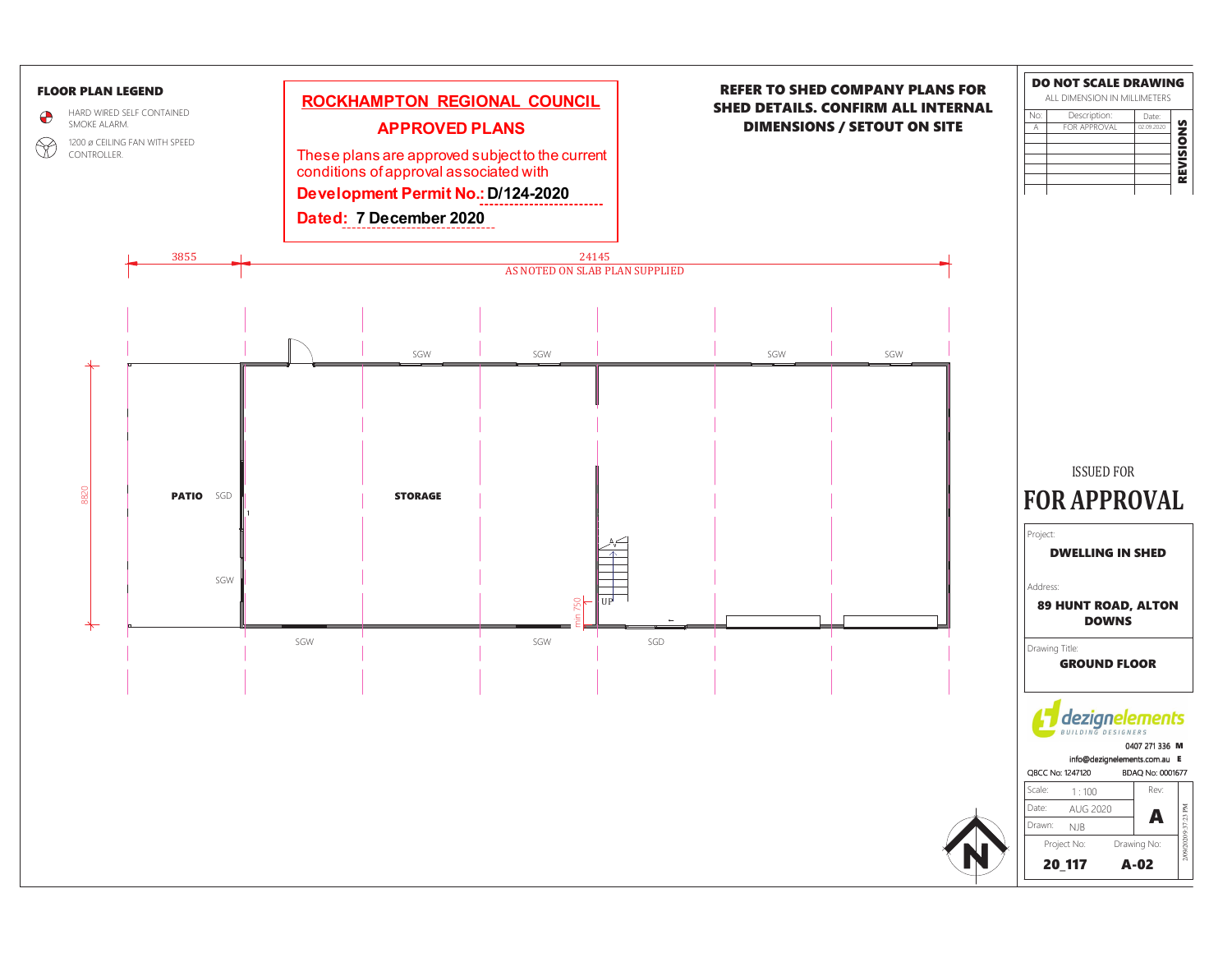